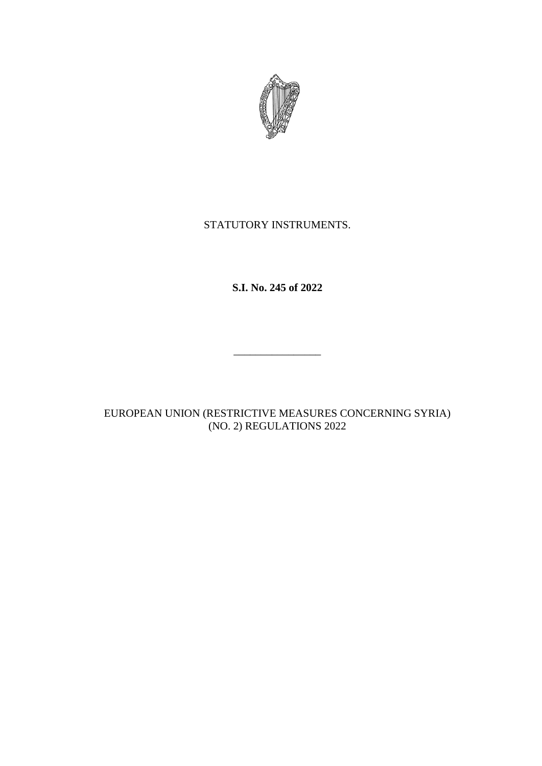

## STATUTORY INSTRUMENTS.

**S.I. No. 245 of 2022**

 $\mathcal{L}_\text{max}$ 

EUROPEAN UNION (RESTRICTIVE MEASURES CONCERNING SYRIA) (NO. 2) REGULATIONS 2022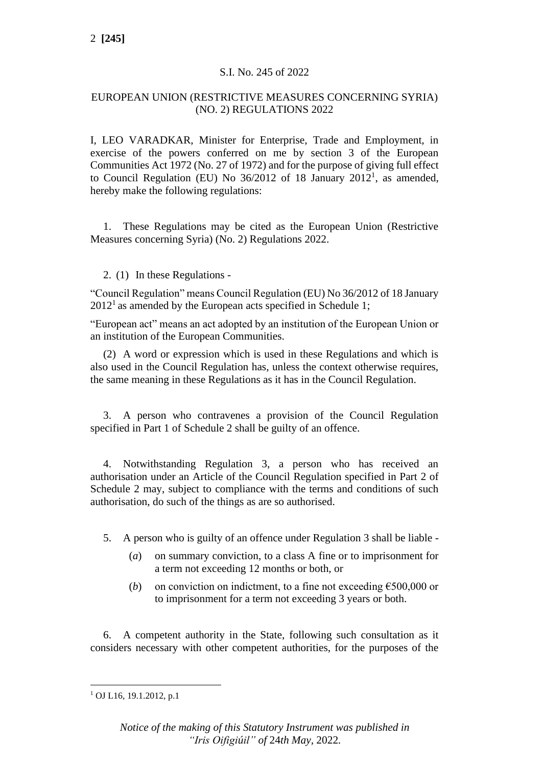### S.I. No. 245 of 2022

#### EUROPEAN UNION (RESTRICTIVE MEASURES CONCERNING SYRIA) (NO. 2) REGULATIONS 2022

I, LEO VARADKAR, Minister for Enterprise, Trade and Employment, in exercise of the powers conferred on me by section 3 of the European Communities Act 1972 (No. 27 of 1972) and for the purpose of giving full effect to Council Regulation (EU) No  $36/2012$  of 18 January  $2012<sup>1</sup>$ , as amended, hereby make the following regulations:

1. These Regulations may be cited as the European Union (Restrictive Measures concerning Syria) (No. 2) Regulations 2022.

#### 2. (1) In these Regulations -

"Council Regulation" means Council Regulation (EU) No 36/2012 of 18 January  $2012<sup>1</sup>$  as amended by the European acts specified in Schedule 1;

"European act" means an act adopted by an institution of the European Union or an institution of the European Communities.

(2) A word or expression which is used in these Regulations and which is also used in the Council Regulation has, unless the context otherwise requires, the same meaning in these Regulations as it has in the Council Regulation.

3. A person who contravenes a provision of the Council Regulation specified in Part 1 of Schedule 2 shall be guilty of an offence.

4. Notwithstanding Regulation 3, a person who has received an authorisation under an Article of the Council Regulation specified in Part 2 of Schedule 2 may, subject to compliance with the terms and conditions of such authorisation, do such of the things as are so authorised.

5. A person who is guilty of an offence under Regulation 3 shall be liable -

- (*a*) on summary conviction, to a class A fine or to imprisonment for a term not exceeding 12 months or both, or
- (*b*) on conviction on indictment, to a fine not exceeding  $\epsilon$ 500,000 or to imprisonment for a term not exceeding 3 years or both.

6. A competent authority in the State, following such consultation as it considers necessary with other competent authorities, for the purposes of the

 $1$  OJ L16, 19.1.2012, p.1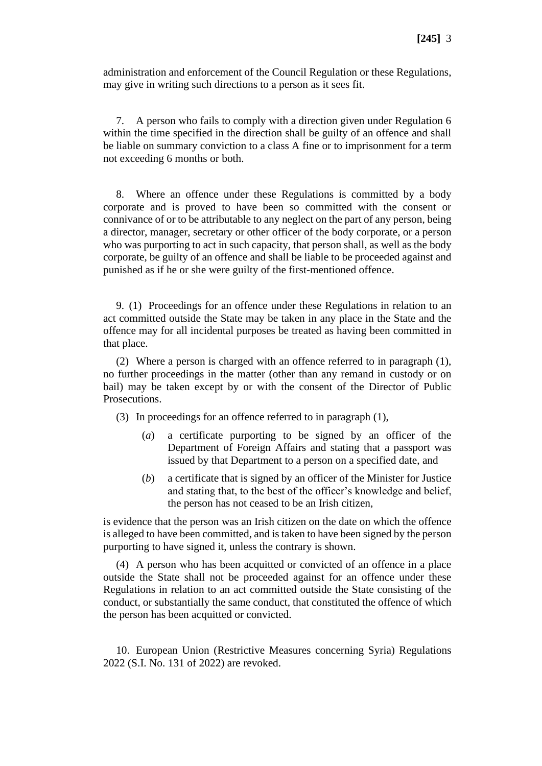administration and enforcement of the Council Regulation or these Regulations, may give in writing such directions to a person as it sees fit.

7. A person who fails to comply with a direction given under Regulation 6 within the time specified in the direction shall be guilty of an offence and shall be liable on summary conviction to a class A fine or to imprisonment for a term not exceeding 6 months or both.

8. Where an offence under these Regulations is committed by a body corporate and is proved to have been so committed with the consent or connivance of or to be attributable to any neglect on the part of any person, being a director, manager, secretary or other officer of the body corporate, or a person who was purporting to act in such capacity, that person shall, as well as the body corporate, be guilty of an offence and shall be liable to be proceeded against and punished as if he or she were guilty of the first-mentioned offence.

9. (1) Proceedings for an offence under these Regulations in relation to an act committed outside the State may be taken in any place in the State and the offence may for all incidental purposes be treated as having been committed in that place.

(2) Where a person is charged with an offence referred to in paragraph (1), no further proceedings in the matter (other than any remand in custody or on bail) may be taken except by or with the consent of the Director of Public Prosecutions.

(3) In proceedings for an offence referred to in paragraph (1),

- (*a*) a certificate purporting to be signed by an officer of the Department of Foreign Affairs and stating that a passport was issued by that Department to a person on a specified date, and
- (*b*) a certificate that is signed by an officer of the Minister for Justice and stating that, to the best of the officer's knowledge and belief, the person has not ceased to be an Irish citizen,

is evidence that the person was an Irish citizen on the date on which the offence is alleged to have been committed, and is taken to have been signed by the person purporting to have signed it, unless the contrary is shown.

(4) A person who has been acquitted or convicted of an offence in a place outside the State shall not be proceeded against for an offence under these Regulations in relation to an act committed outside the State consisting of the conduct, or substantially the same conduct, that constituted the offence of which the person has been acquitted or convicted.

10. European Union (Restrictive Measures concerning Syria) Regulations 2022 (S.I. No. 131 of 2022) are revoked.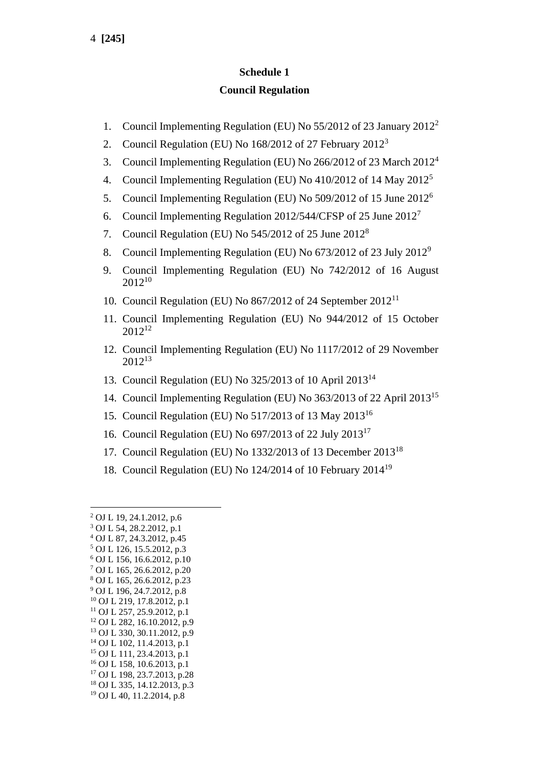## **Schedule 1**

#### **Council Regulation**

- 1. Council Implementing Regulation (EU) No 55/2012 of 23 January 2012<sup>2</sup>
- 2. Council Regulation (EU) No 168/2012 of 27 February 2012<sup>3</sup>
- 3. Council Implementing Regulation (EU) No 266/2012 of 23 March 2012<sup>4</sup>
- 4. Council Implementing Regulation (EU) No 410/2012 of 14 May 2012<sup>5</sup>
- 5. Council Implementing Regulation (EU) No 509/2012 of 15 June 2012<sup>6</sup>
- 6. Council Implementing Regulation 2012/544/CFSP of 25 June 2012<sup>7</sup>
- 7. Council Regulation (EU) No 545/2012 of 25 June 2012<sup>8</sup>
- 8. Council Implementing Regulation (EU) No 673/2012 of 23 July 2012<sup>9</sup>
- 9. Council Implementing Regulation (EU) No 742/2012 of 16 August 2012<sup>10</sup>
- 10. Council Regulation (EU) No 867/2012 of 24 September 2012<sup>11</sup>
- 11. Council Implementing Regulation (EU) No 944/2012 of 15 October  $2012^{12}$
- 12. Council Implementing Regulation (EU) No 1117/2012 of 29 November 2012<sup>13</sup>
- 13. Council Regulation (EU) No 325/2013 of 10 April 2013<sup>14</sup>
- 14. Council Implementing Regulation (EU) No 363/2013 of 22 April 2013<sup>15</sup>
- 15. Council Regulation (EU) No 517/2013 of 13 May 2013<sup>16</sup>
- 16. Council Regulation (EU) No 697/2013 of 22 July 2013<sup>17</sup>
- 17. Council Regulation (EU) No 1332/2013 of 13 December 2013<sup>18</sup>
- 18. Council Regulation (EU) No 124/2014 of 10 February 2014<sup>19</sup>

<sup>2</sup> OJ L 19, 24.1.2012, p.6 <sup>3</sup> OJ L 54, 28.2.2012, p.1 <sup>4</sup> OJ L 87, 24.3.2012, p.45 <sup>5</sup> OJ L 126, 15.5.2012, p.3 <sup>6</sup> OJ L 156, 16.6.2012, p.10 <sup>7</sup> OJ L 165, 26.6.2012, p.20 <sup>8</sup> OJ L 165, 26.6.2012, p.23 <sup>9</sup> OJ L 196, 24.7.2012, p.8 <sup>10</sup> OJ L 219, 17.8.2012, p.1 <sup>11</sup> OJ L 257, 25.9.2012, p.1 <sup>12</sup> OJ L 282, 16.10.2012, p.9 <sup>13</sup> OJ L 330, 30.11.2012, p.9 <sup>14</sup> OJ L 102, 11.4.2013, p.1 <sup>15</sup> OJ L 111, 23.4.2013, p.1 <sup>16</sup> OJ L 158, 10.6.2013, p.1 <sup>17</sup> OJ L 198, 23.7.2013, p.28 <sup>18</sup> OJ L 335, 14.12.2013, p.3 <sup>19</sup> OJ L 40, 11.2.2014, p.8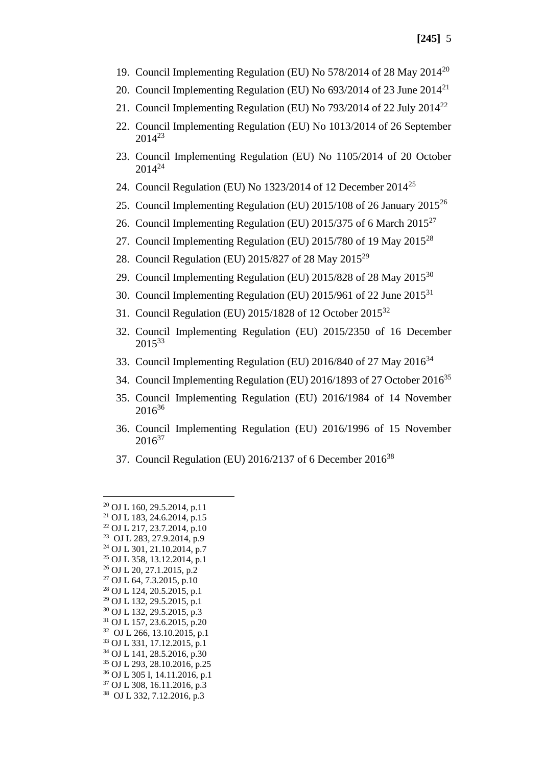- 19. Council Implementing Regulation (EU) No 578/2014 of 28 May 2014<sup>20</sup>
- 20. Council Implementing Regulation (EU) No 693/2014 of 23 June 2014<sup>21</sup>
- 21. Council Implementing Regulation (EU) No 793/2014 of 22 July 2014<sup>22</sup>
- 22. Council Implementing Regulation (EU) No 1013/2014 of 26 September  $2014^{23}$
- 23. Council Implementing Regulation (EU) No 1105/2014 of 20 October 2014<sup>24</sup>
- 24. Council Regulation (EU) No 1323/2014 of 12 December 2014<sup>25</sup>
- 25. Council Implementing Regulation (EU) 2015/108 of 26 January 2015<sup>26</sup>
- 26. Council Implementing Regulation (EU) 2015/375 of 6 March 2015<sup>27</sup>
- 27. Council Implementing Regulation (EU) 2015/780 of 19 May 2015<sup>28</sup>
- 28. Council Regulation (EU) 2015/827 of 28 May 2015<sup>29</sup>
- 29. Council Implementing Regulation (EU) 2015/828 of 28 May 2015<sup>30</sup>
- 30. Council Implementing Regulation (EU)  $2015/961$  of 22 June  $2015^{31}$
- 31. Council Regulation (EU) 2015/1828 of 12 October 2015<sup>32</sup>
- 32. Council Implementing Regulation (EU) 2015/2350 of 16 December 2015<sup>33</sup>
- 33. Council Implementing Regulation (EU) 2016/840 of 27 May 2016<sup>34</sup>
- 34. Council Implementing Regulation (EU) 2016/1893 of 27 October 2016<sup>35</sup>
- 35. Council Implementing Regulation (EU) 2016/1984 of 14 November  $2016^{36}$
- 36. Council Implementing Regulation (EU) 2016/1996 of 15 November  $2016^{37}$
- 37. Council Regulation (EU) 2016/2137 of 6 December 2016<sup>38</sup>

- <sup>34</sup> OJ L 141, 28.5.2016, p.30
- <sup>35</sup> OJ L 293, 28.10.2016, p.25
- <sup>36</sup> OJ L 305 I, 14.11.2016, p.1 <sup>37</sup> OJ L 308, 16.11.2016, p.3
- 38 OJ L 332, 7.12.2016, p.3

<sup>20</sup> OJ L 160, 29.5.2014, p.11

<sup>21</sup> OJ L 183, 24.6.2014, p.15 <sup>22</sup> OJ L 217, 23.7.2014, p.10

<sup>23</sup> OJ L 283, 27.9.2014, p.9

<sup>24</sup> OJ L 301, 21.10.2014, p.7

<sup>25</sup> OJ L 358, 13.12.2014, p.1

<sup>26</sup> OJ L 20, 27.1.2015, p.2

<sup>27</sup> OJ L 64, 7.3.2015, p.10

<sup>28</sup> OJ L 124, 20.5.2015, p.1

<sup>29</sup> OJ L 132, 29.5.2015, p.1

<sup>30</sup> OJ L 132, 29.5.2015, p.3

<sup>31</sup> OJ L 157, 23.6.2015, p.20

<sup>32</sup> OJ L 266, 13.10.2015, p.1

<sup>33</sup> OJ L 331, 17.12.2015, p.1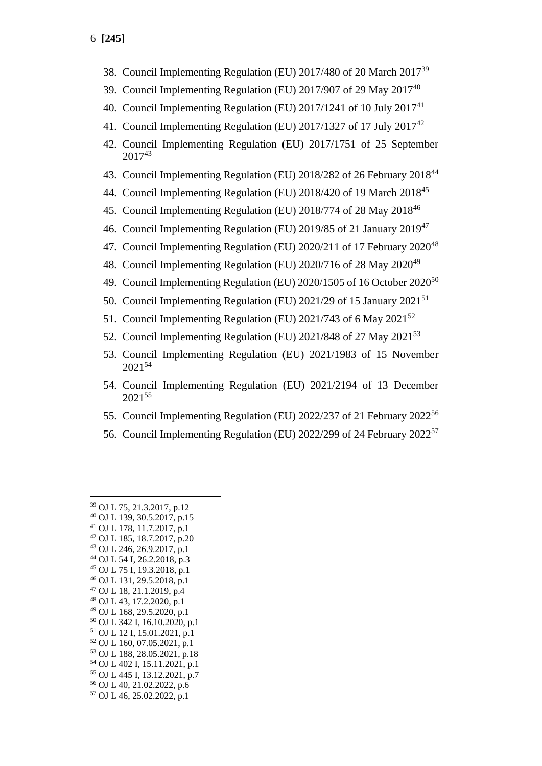- 38. Council Implementing Regulation (EU) 2017/480 of 20 March 2017<sup>39</sup>
- 39. Council Implementing Regulation (EU) 2017/907 of 29 May 2017<sup>40</sup>
- 40. Council Implementing Regulation (EU)  $2017/1241$  of 10 July  $2017<sup>41</sup>$
- 41. Council Implementing Regulation (EU) 2017/1327 of 17 July 2017<sup>42</sup>
- 42. Council Implementing Regulation (EU) 2017/1751 of 25 September 2017<sup>43</sup>
- 43. Council Implementing Regulation (EU) 2018/282 of 26 February 2018<sup>44</sup>
- 44. Council Implementing Regulation (EU) 2018/420 of 19 March 2018<sup>45</sup>
- 45. Council Implementing Regulation (EU) 2018/774 of 28 May 2018<sup>46</sup>
- 46. Council Implementing Regulation (EU) 2019/85 of 21 January 2019<sup>47</sup>
- 47. Council Implementing Regulation (EU) 2020/211 of 17 February 2020<sup>48</sup>
- 48. Council Implementing Regulation (EU) 2020/716 of 28 May 2020<sup>49</sup>
- 49. Council Implementing Regulation (EU)  $2020/1505$  of 16 October  $2020^{50}$
- 50. Council Implementing Regulation (EU) 2021/29 of 15 January 2021<sup>51</sup>
- 51. Council Implementing Regulation (EU)  $2021/743$  of 6 May  $2021^{52}$
- 52. Council Implementing Regulation (EU) 2021/848 of 27 May 2021<sup>53</sup>
- 53. Council Implementing Regulation (EU) 2021/1983 of 15 November  $2021^{54}$
- 54. Council Implementing Regulation (EU) 2021/2194 of 13 December 2021<sup>55</sup>
- 55. Council Implementing Regulation (EU) 2022/237 of 21 February 2022<sup>56</sup>
- 56. Council Implementing Regulation (EU) 2022/299 of 24 February 2022<sup>57</sup>

- <sup>42</sup> OJ L 185, 18.7.2017, p.20
- <sup>43</sup> OJ L 246, 26.9.2017, p.1
- <sup>44</sup> OJ L 54 I, 26.2.2018, p.3
- <sup>45</sup> OJ L 75 I, 19.3.2018, p.1
- <sup>46</sup> OJ L 131, 29.5.2018, p.1
- <sup>47</sup> OJ L 18, 21.1.2019, p.4
- <sup>48</sup> OJ L 43, 17.2.2020, p.1 <sup>49</sup> OJ L 168, 29.5.2020, p.1
- <sup>50</sup> OJ L 342 I, 16.10.2020, p.1
- <sup>51</sup> OJ L 12 I, 15.01.2021, p.1
- <sup>52</sup> OJ L 160, 07.05.2021, p.1
- <sup>53</sup> OJ L 188, 28.05.2021, p.18
- <sup>54</sup> OJ L 402 I, 15.11.2021, p.1
- <sup>55</sup> OJ L 445 I, 13.12.2021, p.7
- <sup>56</sup> OJ L 40, 21.02.2022, p.6
- <sup>57</sup> OJ L 46, 25.02.2022, p.1

<sup>39</sup> OJ L 75, 21.3.2017, p.12

<sup>40</sup> OJ L 139, 30.5.2017, p.15 <sup>41</sup> OJ L 178, 11.7.2017, p.1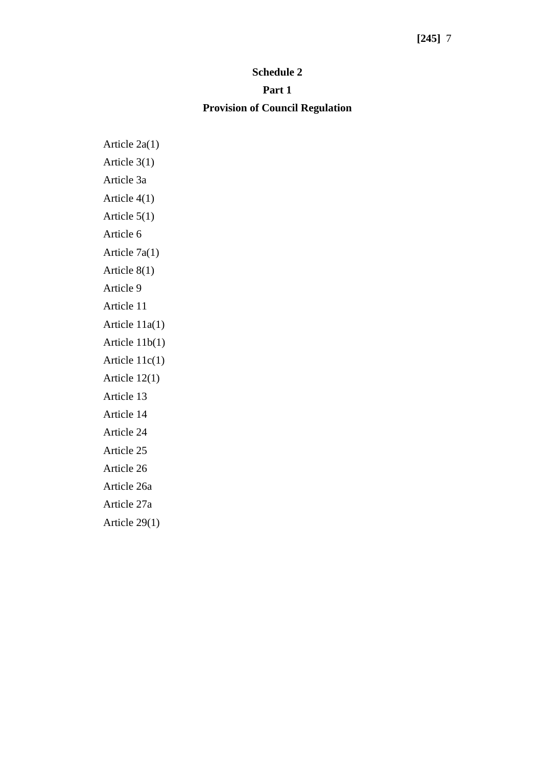#### **Schedule 2**

#### **Part 1**

### **Provision of Council Regulation**

Article 2a(1) Article 3(1) Article 3a Article 4(1) Article 5(1) Article 6 Article 7a(1) Article 8(1) Article 9 Article 11 Article 11a(1) Article 11b(1) Article 11c(1) Article 12(1) Article 13 Article 14 Article 24 Article 25 Article 26 Article 26a Article 27a Article 29(1)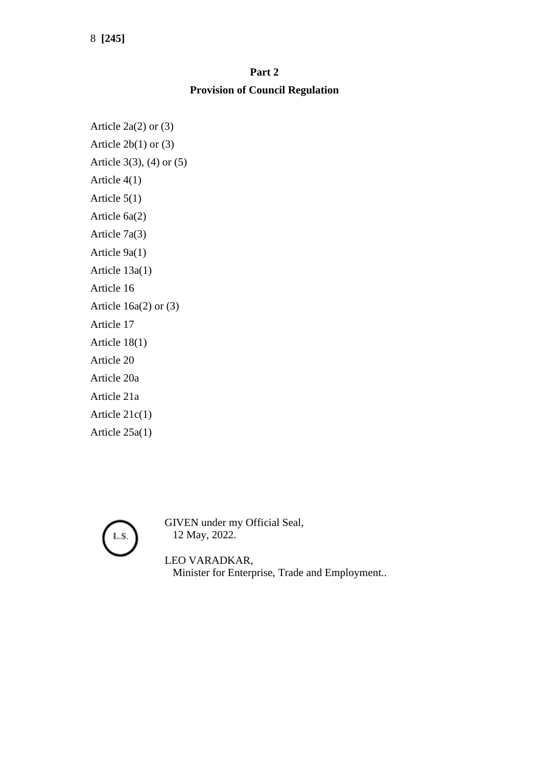8 **[245]**

# **Part 2 Provision of Council Regulation**

Article 2a(2) or (3) Article  $2b(1)$  or  $(3)$ Article 3(3), (4) or (5) Article 4(1) Article 5(1) Article 6a(2) Article 7a(3) Article 9a(1) Article 13a(1) Article 16 Article 16a(2) or (3) Article 17 Article 18(1) Article 20 Article 20a Article 21a Article 21c(1) Article 25a(1)



GIVEN under my Official Seal, 12 May, 2022.

LEO VARADKAR, Minister for Enterprise, Trade and Employment..